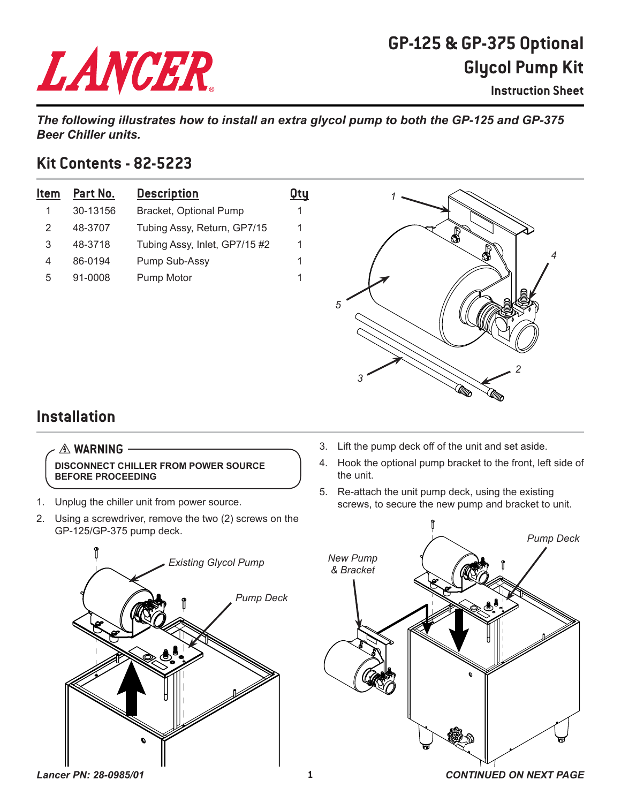# LANCER

## **GP-125 & GP-375 Optional Glycol Pump Kit**

**Instruction Sheet**

*The following illustrates how to install an extra glycol pump to both the GP-125 and GP-375 Beer Chiller units.*

#### **Kit Contents - 82-5223**

| Item | Part No. | <b>Description</b>            | Qtu |
|------|----------|-------------------------------|-----|
|      | 30-13156 | Bracket, Optional Pump        |     |
| 2    | 48-3707  | Tubing Assy, Return, GP7/15   | 1   |
| 3    | 48-3718  | Tubing Assy, Inlet, GP7/15 #2 | 1   |
| 4    | 86-0194  | Pump Sub-Assy                 | 1   |
| 5    | 91-0008  | Pump Motor                    |     |



### **Installation**

#### $A$  **WARNING**

**DISCONNECT CHILLER FROM POWER SOURCE BEFORE PROCEEDING**

- 1. Unplug the chiller unit from power source.
- 2. Using a screwdriver, remove the two (2) screws on the GP-125/GP-375 pump deck.
	- *Pump Deck Existing Glycol Pump*
- 3. Lift the pump deck off of the unit and set aside.
- 4. Hook the optional pump bracket to the front, left side of the unit.
- 5. Re-attach the unit pump deck, using the existing screws, to secure the new pump and bracket to unit.



*Lancer PN: 28-0985/01* **1** *CONTINUED ON NEXT PAGE*